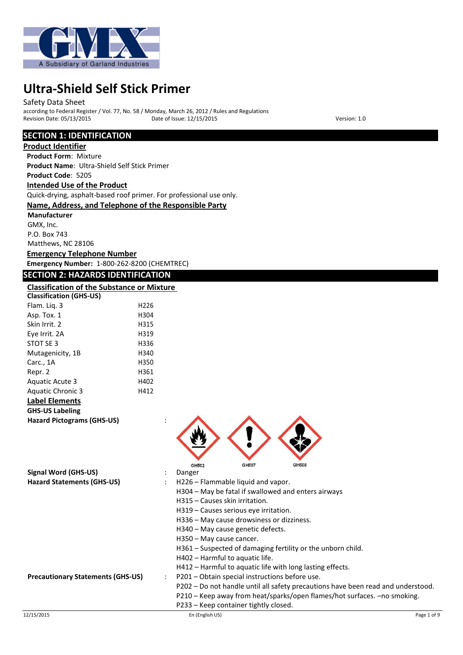

# Safety Data Sheet

according to Federal Register / Vol. 77, No. 58 / Monday, March 26, 2012 / Rules and Regulations Revision Date: 05/13/2015 Date of Issue: 12/15/2015 Version: 1.0

# **SECTION 1: IDENTIFICATION**

### **Product Identifier**

**Product Form**: Mixture **Product Name**: Ultra-Shield Self Stick Primer **Product Code**: 5205 **Intended Use of the Product** Quick-drying, asphalt-based roof primer. For professional use only. **Name, Address, and Telephone of the Responsible Party Manufacturer** GMX, Inc.

P.O. Box 743 Matthews, NC 28106

# **Emergency Telephone Number**

**Emergency Number:** 1-800-262-8200 (CHEMTREC)

# **SECTION 2: HAZARDS IDENTIFICATION**

| <b>Classification of the Substance or Mixture</b> |                  |                                                     |
|---------------------------------------------------|------------------|-----------------------------------------------------|
| <b>Classification (GHS-US)</b>                    |                  |                                                     |
| Flam. Liq. 3                                      | H <sub>226</sub> |                                                     |
| Asp. Tox. 1                                       | H304             |                                                     |
| Skin Irrit. 2                                     | H315             |                                                     |
| Eye Irrit. 2A                                     | H319             |                                                     |
| STOT SE 3                                         | H336             |                                                     |
| Mutagenicity, 1B                                  | H340             |                                                     |
| Carc., 1A                                         | H350             |                                                     |
| Repr. 2                                           | H361             |                                                     |
| <b>Aquatic Acute 3</b>                            | H402             |                                                     |
| <b>Aquatic Chronic 3</b>                          | H412             |                                                     |
| <b>Label Elements</b>                             |                  |                                                     |
| <b>GHS-US Labeling</b>                            |                  |                                                     |
| <b>Hazard Pictograms (GHS-US)</b>                 |                  |                                                     |
|                                                   |                  |                                                     |
|                                                   |                  |                                                     |
|                                                   |                  |                                                     |
|                                                   |                  | GH508<br>GH502<br>GH507                             |
| <b>Signal Word (GHS-US)</b>                       |                  | Danger                                              |
| <b>Hazard Statements (GHS-US)</b>                 |                  | H226 - Flammable liquid and vapor.                  |
|                                                   |                  | H304 - May be fatal if swallowed and enters airways |
|                                                   |                  | H315 - Causes skin irritation.                      |
|                                                   |                  | H319 - Causes serious eye irritation.               |
|                                                   |                  | H336 – May cause drowsiness or dizziness.           |

**Precautionary Statements (GHS-US)** : P201 – Obtain special instructions before use.

H340 – May cause genetic defects.

P233 – Keep container tightly closed.

H361 – Suspected of damaging fertility or the unborn child.

P202 – Do not handle until all safety precautions have been read and understood. P210 – Keep away from heat/sparks/open flames/hot surfaces. –no smoking.

H412 – Harmful to aquatic life with long lasting effects.

H350 – May cause cancer.

H402 – Harmful to aquatic life.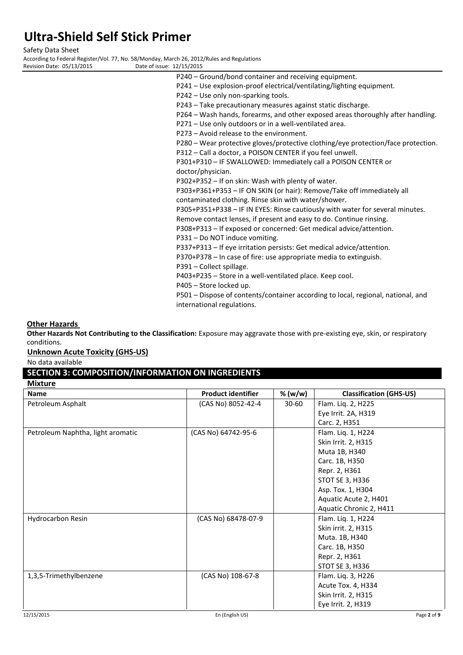Safety Data Sheet

According to Federal Register/Vol. 77, No. 58/Monday, March 26, 2012/Rules and Regulations<br>
Revision Date: 05/13/2015 Revision Date: 05/13/2015

| Date of Issue: 12/15/2015                                                         |
|-----------------------------------------------------------------------------------|
| P240 – Ground/bond container and receiving equipment.                             |
| P241 - Use explosion-proof electrical/ventilating/lighting equipment.             |
| P242 - Use only non-sparking tools.                                               |
| P243 - Take precautionary measures against static discharge.                      |
| P264 - Wash hands, forearms, and other exposed areas thoroughly after handling.   |
| P271 - Use only outdoors or in a well-ventilated area.                            |
| P273 - Avoid release to the environment.                                          |
| P280 - Wear protective gloves/protective clothing/eye protection/face protection. |
| P312 - Call a doctor, a POISON CENTER if you feel unwell.                         |
| P301+P310 - IF SWALLOWED: Immediately call a POISON CENTER or                     |
| doctor/physician.                                                                 |
| P302+P352 - If on skin: Wash with plenty of water.                                |
| P303+P361+P353 - IF ON SKIN (or hair): Remove/Take off immediately all            |
| contaminated clothing. Rinse skin with water/shower.                              |
| P305+P351+P338 - IF IN EYES: Rinse cautiously with water for several minutes.     |
| Remove contact lenses, if present and easy to do. Continue rinsing.               |
| P308+P313 - If exposed or concerned: Get medical advice/attention.                |
| P331 - Do NOT induce vomiting.                                                    |
| P337+P313 - If eye irritation persists: Get medical advice/attention.             |
| P370+P378 - In case of fire: use appropriate media to extinguish.                 |
| P391 - Collect spillage.                                                          |
| P403+P235 - Store in a well-ventilated place. Keep cool.                          |
| P405 - Store locked up.                                                           |
| P501 - Dispose of contents/container according to local, regional, national, and  |
| international regulations.                                                        |

# **Other Hazards**

**Other Hazards Not Contributing to the Classification:** Exposure may aggravate those with pre-existing eye, skin, or respiratory conditions.

**Unknown Acute Toxicity (GHS-US)**

No data available

# **SECTION 3: COMPOSITION/INFORMATION ON INGREDIENTS**

|  | Mixture |  |  |
|--|---------|--|--|
|  |         |  |  |

| <b>Name</b>                       | <b>Product identifier</b> | % (w/w) | <b>Classification (GHS-US)</b> |
|-----------------------------------|---------------------------|---------|--------------------------------|
| Petroleum Asphalt                 | (CAS No) 8052-42-4        | 30-60   | Flam. Liq. 2, H225             |
|                                   |                           |         | Eye Irrit. 2A, H319            |
|                                   |                           |         | Carc. 2, H351                  |
| Petroleum Naphtha, light aromatic | (CAS No) 64742-95-6       |         | Flam. Liq. 1, H224             |
|                                   |                           |         | Skin Irrit. 2, H315            |
|                                   |                           |         | Muta 1B, H340                  |
|                                   |                           |         | Carc. 1B, H350                 |
|                                   |                           |         | Repr. 2, H361                  |
|                                   |                           |         | STOT SE 3, H336                |
|                                   |                           |         | Asp. Tox. 1, H304              |
|                                   |                           |         | Aquatic Acute 2, H401          |
|                                   |                           |         | Aquatic Chronic 2, H411        |
| Hydrocarbon Resin                 | (CAS No) 68478-07-9       |         | Flam. Liq. 1, H224             |
|                                   |                           |         | Skin irrit. 2, H315            |
|                                   |                           |         | Muta. 1B, H340                 |
|                                   |                           |         | Carc. 1B, H350                 |
|                                   |                           |         | Repr. 2, H361                  |
|                                   |                           |         | STOT SE 3, H336                |
| 1,3,5-Trimethylbenzene            | (CAS No) 108-67-8         |         | Flam. Liq. 3, H226             |
|                                   |                           |         | Acute Tox. 4, H334             |
|                                   |                           |         | Skin Irrit. 2, H315            |
|                                   |                           |         | Eye Irrit. 2, H319             |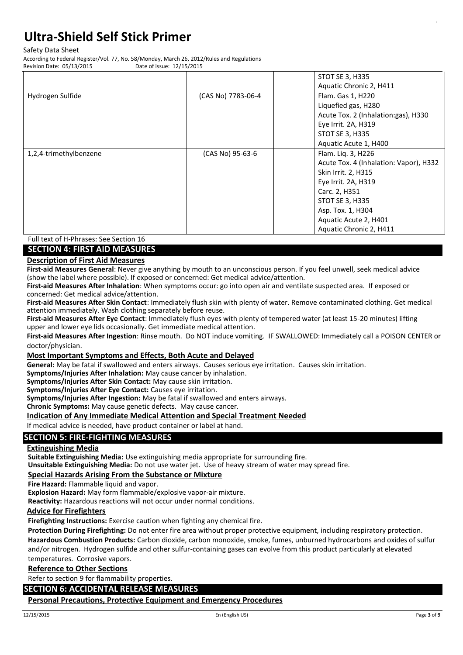Safety Data Sheet

According to Federal Register/Vol. 77, No. 58/Monday, March 26, 2012/Rules and Regulations Revision Date:  $05/13/2015$ 

|                    | STOT SE 3, H335                        |
|--------------------|----------------------------------------|
|                    | Aquatic Chronic 2, H411                |
| (CAS No) 7783-06-4 | Flam. Gas 1, H220                      |
|                    | Liquefied gas, H280                    |
|                    | Acute Tox. 2 (Inhalation: gas), H330   |
|                    | Eye Irrit. 2A, H319                    |
|                    | STOT SE 3, H335                        |
|                    | Aquatic Acute 1, H400                  |
| (CAS No) 95-63-6   | Flam. Liq. 3, H226                     |
|                    | Acute Tox. 4 (Inhalation: Vapor), H332 |
|                    | Skin Irrit. 2, H315                    |
|                    | Eye Irrit. 2A, H319                    |
|                    | Carc. 2, H351                          |
|                    | <b>STOT SE 3, H335</b>                 |
|                    | Asp. Tox. 1, H304                      |
|                    | Aquatic Acute 2, H401                  |
|                    | Aquatic Chronic 2, H411                |
|                    |                                        |

Full text of H-Phrases: See Section 16

# **SECTION 4: FIRST AID MEASURES**

# **Description of First Aid Measures**

**First-aid Measures General**: Never give anything by mouth to an unconscious person. If you feel unwell, seek medical advice (show the label where possible). If exposed or concerned: Get medical advice/attention.

**First-aid Measures After Inhalation**: When symptoms occur: go into open air and ventilate suspected area. If exposed or concerned: Get medical advice/attention.

**First-aid Measures After Skin Contact**: Immediately flush skin with plenty of water. Remove contaminated clothing. Get medical attention immediately. Wash clothing separately before reuse.

**First-aid Measures After Eye Contact**: Immediately flush eyes with plenty of tempered water (at least 15-20 minutes) lifting upper and lower eye lids occasionally. Get immediate medical attention.

**First-aid Measures After Ingestion**: Rinse mouth. Do NOT induce vomiting. IF SWALLOWED: Immediately call a POISON CENTER or doctor/physician.

### **Most Important Symptoms and Effects, Both Acute and Delayed**

**General:** May be fatal if swallowed and enters airways. Causes serious eye irritation. Causes skin irritation.

**Symptoms/Injuries After Inhalation:** May cause cancer by inhalation.

**Symptoms/Injuries After Skin Contact:** May cause skin irritation.

**Symptoms/Injuries After Eye Contact:** Causes eye irritation.

**Symptoms/Injuries After Ingestion:** May be fatal if swallowed and enters airways.

**Chronic Symptoms:** May cause genetic defects. May cause cancer.

# **Indication of Any Immediate Medical Attention and Special Treatment Needed**

If medical advice is needed, have product container or label at hand.

# **SECTION 5: FIRE-FIGHTING MEASURES**

### **Extinguishing Media**

**Suitable Extinguishing Media:** Use extinguishing media appropriate for surrounding fire.

**Unsuitable Extinguishing Media:** Do not use water jet. Use of heavy stream of water may spread fire.

### **Special Hazards Arising From the Substance or Mixture**

**Fire Hazard:** Flammable liquid and vapor.

**Explosion Hazard:** May form flammable/explosive vapor-air mixture.

**Reactivity:** Hazardous reactions will not occur under normal conditions.

### **Advice for Firefighters**

**Firefighting Instructions:** Exercise caution when fighting any chemical fire.

**Protection During Firefighting:** Do not enter fire area without proper protective equipment, including respiratory protection. **Hazardous Combustion Products:** Carbon dioxide, carbon monoxide, smoke, fumes, unburned hydrocarbons and oxides of sulfur and/or nitrogen. Hydrogen sulfide and other sulfur-containing gases can evolve from this product particularly at elevated temperatures. Corrosive vapors.

### **Reference to Other Sections**

Refer to section 9 for flammability properties.

# **SECTION 6: ACCIDENTAL RELEASE MEASURES**

**Personal Precautions, Protective Equipment and Emergency Procedures**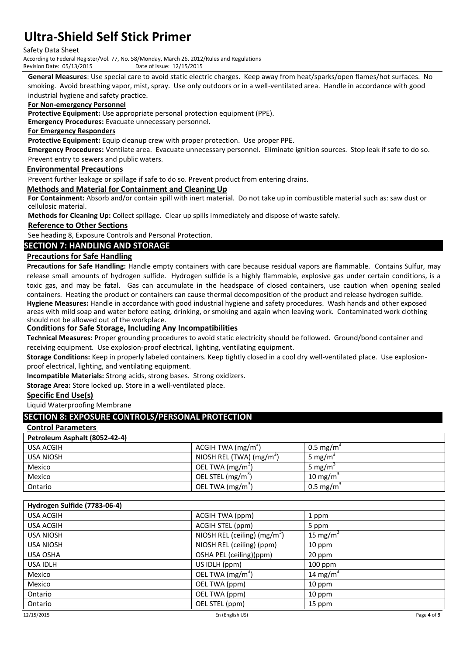#### Safety Data Sheet

According to Federal Register/Vol. 77, No. 58/Monday, March 26, 2012/Rules and Regulations Revision Date:  $05/13/2015$ 

**General Measures**: Use special care to avoid static electric charges. Keep away from heat/sparks/open flames/hot surfaces. No smoking. Avoid breathing vapor, mist, spray. Use only outdoors or in a well-ventilated area. Handle in accordance with good industrial hygiene and safety practice.

### **For Non-emergency Personnel**

**Protective Equipment:** Use appropriate personal protection equipment (PPE).

**Emergency Procedures:** Evacuate unnecessary personnel.

## **For Emergency Responders**

**Protective Equipment:** Equip cleanup crew with proper protection. Use proper PPE.

**Emergency Procedures:** Ventilate area. Evacuate unnecessary personnel. Eliminate ignition sources. Stop leak if safe to do so.

Prevent entry to sewers and public waters.

### **Environmental Precautions**

Prevent further leakage or spillage if safe to do so. Prevent product from entering drains.

### **Methods and Material for Containment and Cleaning Up**

**For Containment:** Absorb and/or contain spill with inert material. Do not take up in combustible material such as: saw dust or cellulosic material.

**Methods for Cleaning Up:** Collect spillage. Clear up spills immediately and dispose of waste safely.

### **Reference to Other Sections**

See heading 8, Exposure Controls and Personal Protection.

# **SECTION 7: HANDLING AND STORAGE**

### **Precautions for Safe Handling**

**Precautions for Safe Handling:** Handle empty containers with care because residual vapors are flammable. Contains Sulfur, may release small amounts of hydrogen sulfide. Hydrogen sulfide is a highly flammable, explosive gas under certain conditions, is a toxic gas, and may be fatal. Gas can accumulate in the headspace of closed containers, use caution when opening sealed containers. Heating the product or containers can cause thermal decomposition of the product and release hydrogen sulfide.

**Hygiene Measures:** Handle in accordance with good industrial hygiene and safety procedures. Wash hands and other exposed areas with mild soap and water before eating, drinking, or smoking and again when leaving work. Contaminated work clothing should not be allowed out of the workplace.

# **Conditions for Safe Storage, Including Any Incompatibilities**

**Technical Measures:** Proper grounding procedures to avoid static electricity should be followed. Ground/bond container and receiving equipment. Use explosion-proof electrical, lighting, ventilating equipment.

**Storage Conditions:** Keep in properly labeled containers. Keep tightly closed in a cool dry well-ventilated place. Use explosionproof electrical, lighting, and ventilating equipment.

**Incompatible Materials:** Strong acids, strong bases. Strong oxidizers.

**Storage Area:** Store locked up. Store in a well-ventilated place.

### **Specific End Use(s)**

Liquid Waterproofing Membrane

### **SECTION 8: EXPOSURE CONTROLS/PERSONAL PROTECTION**

#### **Control Parameters**

# **Petroleum Asphalt (8052-42-4)**

| USA ACGIH        | ACGIH TWA (mg/m <sup>3</sup> ) | $0.5 \text{ mg/m}^3$                      |
|------------------|--------------------------------|-------------------------------------------|
| <b>USA NIOSH</b> | NIOSH REL (TWA) $(mg/m3)$      | 5 mg/m <sup><math>\text{m}^3</math></sup> |
| Mexico           | OEL TWA $(mg/m^3)$             | 5 mg/m <sup>3</sup>                       |
| Mexico           | OEL STEL $(mg/m^3)$            | 10 mg/m <sup>3</sup>                      |
| Ontario          | OEL TWA (mg/m <sup>3</sup> )   | $0.5 \text{ mg/m}^3$                      |
|                  |                                |                                           |

| Hydrogen Sulfide (7783-06-4) |                               |                      |
|------------------------------|-------------------------------|----------------------|
| <b>USA ACGIH</b>             | ACGIH TWA (ppm)               | 1 ppm                |
| <b>USA ACGIH</b>             | ACGIH STEL (ppm)              | 5 ppm                |
| <b>USA NIOSH</b>             | NIOSH REL (ceiling) $(mg/m3)$ | 15 mg/m <sup>3</sup> |
| <b>USA NIOSH</b>             | NIOSH REL (ceiling) (ppm)     | 10 ppm               |
| USA OSHA                     | OSHA PEL (ceiling)(ppm)       | 20 ppm               |
| <b>USA IDLH</b>              | US IDLH (ppm)                 | 100 ppm              |
| Mexico                       | OEL TWA (mg/m <sup>3</sup> )  | 14 mg/m <sup>3</sup> |
| Mexico                       | OEL TWA (ppm)                 | 10 ppm               |
| Ontario                      | OEL TWA (ppm)                 | 10 ppm               |
| Ontario                      | OEL STEL (ppm)                | 15 ppm               |
|                              |                               |                      |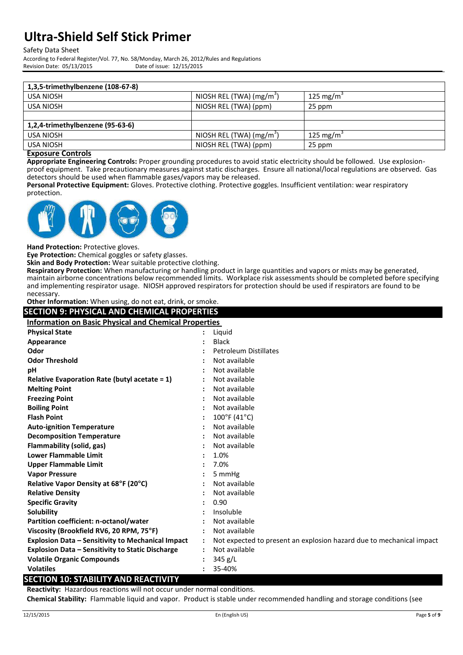Safety Data Sheet

According to Federal Register/Vol. 77, No. 58/Monday, March 26, 2012/Rules and Regulations Date of issue: 12/15/2015

| 1,3,5-trimethylbenzene (108-67-8) |                           |                       |
|-----------------------------------|---------------------------|-----------------------|
| <b>USA NIOSH</b>                  | NIOSH REL (TWA) $(mg/m3)$ | 125 mg/m <sup>3</sup> |
| USA NIOSH                         | NIOSH REL (TWA) (ppm)     | 25 ppm                |
|                                   |                           |                       |
| 1,2,4-trimethylbenzene (95-63-6)  |                           |                       |
| <b>USA NIOSH</b>                  | NIOSH REL (TWA) $(mg/m3)$ | 125 mg/m <sup>3</sup> |
| USA NIOSH                         | NIOSH REL (TWA) (ppm)     | 25 ppm                |

### **Exposure Controls**

**Appropriate Engineering Controls:** Proper grounding procedures to avoid static electricity should be followed. Use explosionproof equipment. Take precautionary measures against static discharges. Ensure all national/local regulations are observed. Gas detectors should be used when flammable gases/vapors may be released.

**Personal Protective Equipment:** Gloves. Protective clothing. Protective goggles. Insufficient ventilation: wear respiratory protection.



**Hand Protection:** Protective gloves.

**Eye Protection:** Chemical goggles or safety glasses.

**Skin and Body Protection:** Wear suitable protective clothing.

**Respiratory Protection:** When manufacturing or handling product in large quantities and vapors or mists may be generated, maintain airborne concentrations below recommended limits. Workplace risk assessments should be completed before specifying and implementing respirator usage. NIOSH approved respirators for protection should be used if respirators are found to be necessary.

**Other Information:** When using, do not eat, drink, or smoke.

| SECTION 9: PHYSICAL AND CHEMICAL PROPERTIES                     |  |                                                                      |
|-----------------------------------------------------------------|--|----------------------------------------------------------------------|
| <b>Information on Basic Physical and Chemical Properties</b>    |  |                                                                      |
| <b>Physical State</b>                                           |  | Liquid                                                               |
| Appearance                                                      |  | <b>Black</b>                                                         |
| Odor                                                            |  | <b>Petroleum Distillates</b>                                         |
| <b>Odor Threshold</b>                                           |  | Not available                                                        |
| рH                                                              |  | Not available                                                        |
| Relative Evaporation Rate (butyl acetate $= 1$ )                |  | Not available                                                        |
| <b>Melting Point</b>                                            |  | Not available                                                        |
| <b>Freezing Point</b>                                           |  | Not available                                                        |
| <b>Boiling Point</b>                                            |  | Not available                                                        |
| <b>Flash Point</b>                                              |  | $100^{\circ}$ F (41°C)                                               |
| <b>Auto-ignition Temperature</b>                                |  | Not available                                                        |
| <b>Decomposition Temperature</b>                                |  | Not available                                                        |
| Flammability (solid, gas)                                       |  | Not available                                                        |
| Lower Flammable Limit                                           |  | 1.0%                                                                 |
| <b>Upper Flammable Limit</b>                                    |  | 7.0%                                                                 |
| <b>Vapor Pressure</b>                                           |  | 5 mmHg                                                               |
| Relative Vapor Density at 68°F (20°C)                           |  | Not available                                                        |
| <b>Relative Density</b>                                         |  | Not available                                                        |
| <b>Specific Gravity</b>                                         |  | 0.90                                                                 |
| Solubility                                                      |  | Insoluble                                                            |
| Partition coefficient: n-octanol/water                          |  | Not available                                                        |
| Viscosity (Brookfield RV6, 20 RPM, 75°F)                        |  | Not available                                                        |
| <b>Explosion Data - Sensitivity to Mechanical Impact</b>        |  | Not expected to present an explosion hazard due to mechanical impact |
| <b>Explosion Data - Sensitivity to Static Discharge</b>         |  | Not available                                                        |
| <b>Volatile Organic Compounds</b>                               |  | $345$ g/L                                                            |
| <b>Volatiles</b><br><b>CARLAN 4A ARABILITY AND BEA ATH UTV.</b> |  | 35-40%                                                               |

# **SECTION 10: STABILITY AND REACTIVITY**

**Reactivity:** Hazardous reactions will not occur under normal conditions.

**Chemical Stability:** Flammable liquid and vapor.Product is stable under recommended handling and storage conditions (see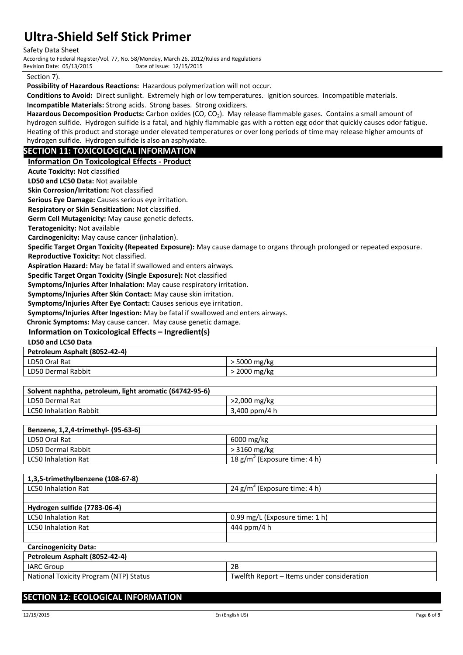Safety Data Sheet

According to Federal Register/Vol. 77, No. 58/Monday, March 26, 2012/Rules and Regulations Revision Date:  $05/13/2015$ 

#### Section 7).

**Possibility of Hazardous Reactions:** Hazardous polymerization will not occur.

**Conditions to Avoid:** Direct sunlight. Extremely high or low temperatures. Ignition sources. Incompatible materials.

**Incompatible Materials:** Strong acids. Strong bases. Strong oxidizers.

Hazardous Decomposition Products: Carbon oxides (CO, CO<sub>2</sub>). May release flammable gases. Contains a small amount of hydrogen sulfide. Hydrogen sulfide is a fatal, and highly flammable gas with a rotten egg odor that quickly causes odor fatigue. Heating of this product and storage under elevated temperatures or over long periods of time may release higher amounts of hydrogen sulfide. Hydrogen sulfide is also an asphyxiate.

# **SECTION 11: TOXICOLOGICAL INFORMATION**

## **Information On Toxicological Effects - Product**

**Acute Toxicity:** Not classified

**LD50 and LC50 Data:** Not available

**Skin Corrosion/Irritation:** Not classified

**Serious Eye Damage:** Causes serious eye irritation.

**Respiratory or Skin Sensitization:** Not classified.

**Germ Cell Mutagenicity:** May cause genetic defects.

**Teratogenicity:** Not available

**Carcinogenicity:** May cause cancer (inhalation).

**Specific Target Organ Toxicity (Repeated Exposure):** May cause damage to organs through prolonged or repeated exposure.

**Reproductive Toxicity:** Not classified.

**Aspiration Hazard:** May be fatal if swallowed and enters airways.

**Specific Target Organ Toxicity (Single Exposure):** Not classified

**Symptoms/Injuries After Inhalation:** May cause respiratory irritation.

**Symptoms/Injuries After Skin Contact:** May cause skin irritation.

**Symptoms/Injuries After Eye Contact:** Causes serious eye irritation.

**Symptoms/Injuries After Ingestion:** May be fatal if swallowed and enters airways.

**Chronic Symptoms:** May cause cancer. May cause genetic damage.

# **Information on Toxicological Effects – Ingredient(s)**

**LD50 and LC50 Data**

| Petroleum Asphalt (8052-42-4) |                    |
|-------------------------------|--------------------|
| LD50 Oral Rat                 | > 5000 mg/kg       |
| LD50 Dermal Rabbit            | $\cdot$ 2000 mg/kg |

| Solvent naphtha, petroleum, light aromatic (64742-95-6) |                 |  |  |
|---------------------------------------------------------|-----------------|--|--|
| LD50 Dermal Rat                                         | $>2,000$ mg/kg  |  |  |
| <b>LC50 Inhalation Rabbit</b>                           | $3,400$ ppm/4 h |  |  |

## **Benzene, 1,2,4-trimethyl- (95-63-6)**

| LD50 Oral Rat              | 6000 mg/kg                               |
|----------------------------|------------------------------------------|
| LD50 Dermal Rabbit         | $>3160$ mg/kg                            |
| <b>LC50 Inhalation Rat</b> | 18 g/m <sup>3</sup> (Exposure time: 4 h) |

| 1,3,5-trimethylbenzene (108-67-8) |                                |
|-----------------------------------|--------------------------------|
| <b>LC50 Inhalation Rat</b>        | 24 $g/m3$ (Exposure time: 4 h) |
|                                   |                                |
| Hydrogen sulfide (7783-06-4)      |                                |
| <b>LC50 Inhalation Rat</b>        | 0.99 mg/L (Exposure time: 1 h) |
| <b>LC50 Inhalation Rat</b>        | 444 ppm/4 h                    |
|                                   |                                |
| <b>Carcinogenicity Data:</b>      |                                |

# **Petroleum Asphalt (8052-42-4)**

| <b>IARC G</b><br>Group | 2B            |
|------------------------|---------------|
| Nat                    | consideration |
| <b>Status</b>          | Fwelfth       |
| Toxicitv               | Renor         |
| Program                | . under       |
| 6N.                    | 'tems         |
| *ionai -               | -             |
| . . L                  | . .           |

# **SECTION 12: ECOLOGICAL INFORMATION**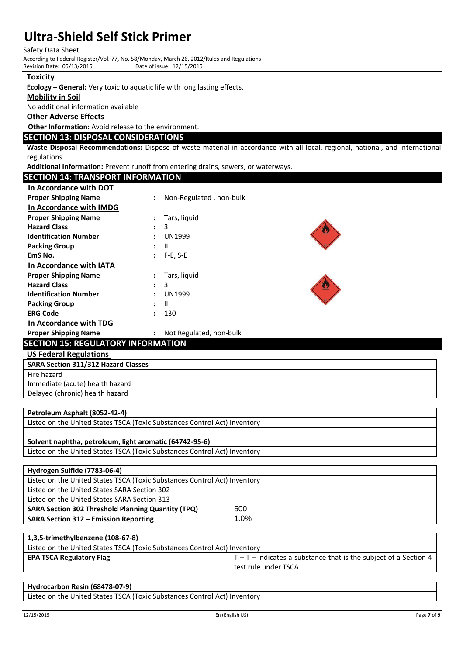Safety Data Sheet

According to Federal Register/Vol. 77, No. 58/Monday, March 26, 2012/Rules and Regulations Revision Date: 05/13/2015

### **Toxicity**

**Ecology – General:** Very toxic to aquatic life with long lasting effects.

# **Mobility in Soil**

No additional information available

# **Other Adverse Effects**

**Other Information:** Avoid release to the environment.

# **SECTION 13: DISPOSAL CONSIDERATIONS**

**Waste Disposal Recommendations:** Dispose of waste material in accordance with all local, regional, national, and international regulations.

**Additional Information:** Prevent runoff from entering drains, sewers, or waterways.

| <b>SECTION 14: TRANSPORT INFORMATION</b>   |                      |                         |  |
|--------------------------------------------|----------------------|-------------------------|--|
| In Accordance with DOT                     |                      |                         |  |
| <b>Proper Shipping Name</b>                |                      | Non-Regulated, non-bulk |  |
| In Accordance with IMDG                    |                      |                         |  |
| <b>Proper Shipping Name</b>                | $\ddot{\cdot}$       | Tars, liquid            |  |
| <b>Hazard Class</b>                        | $\ddot{\phantom{a}}$ | 3                       |  |
| <b>Identification Number</b>               | $\bullet$            | <b>UN1999</b>           |  |
| <b>Packing Group</b>                       | $\ddot{\cdot}$       | Ш                       |  |
| EmS No.                                    | $\ddot{\cdot}$       | $F-E, S-E$              |  |
| In Accordance with IATA                    |                      |                         |  |
| <b>Proper Shipping Name</b>                | $\ddot{\cdot}$       | Tars, liquid            |  |
| <b>Hazard Class</b>                        | $\ddot{\phantom{a}}$ | 3                       |  |
| <b>Identification Number</b>               | ٠                    | <b>UN1999</b>           |  |
| <b>Packing Group</b>                       | ٠                    | Ш                       |  |
| <b>ERG Code</b>                            | $\bullet$            | 130                     |  |
| In Accordance with TDG                     |                      |                         |  |
| <b>Proper Shipping Name</b>                | $\ddot{\phantom{a}}$ | Not Regulated, non-bulk |  |
| <b>SECTION 15: REGULATORY INFORMATION</b>  |                      |                         |  |
| <b>US Federal Regulations</b>              |                      |                         |  |
| <b>SARA Section 311/312 Hazard Classes</b> |                      |                         |  |

| Fire hazard                     |
|---------------------------------|
| Immediate (acute) health hazard |
| Delayed (chronic) health hazard |

#### **Petroleum Asphalt (8052-42-4)**

Listed on the United States TSCA (Toxic Substances Control Act) Inventory

#### **Solvent naphtha, petroleum, light aromatic (64742-95-6)**

Listed on the United States TSCA (Toxic Substances Control Act) Inventory

| Listed on the United States TSCA (Toxic Substances Control Act) Inventory |  |
|---------------------------------------------------------------------------|--|
|                                                                           |  |
|                                                                           |  |
| 500<br><b>SARA Section 302 Threshold Planning Quantity (TPQ)</b>          |  |
| 1.0%                                                                      |  |
|                                                                           |  |

| 1,3,5-trimethylbenzene (108-67-8)                                         |                                                                                  |
|---------------------------------------------------------------------------|----------------------------------------------------------------------------------|
| Listed on the United States TSCA (Toxic Substances Control Act) Inventory |                                                                                  |
| <b>EPA TSCA Regulatory Flag</b>                                           | $\vert$ T – T – indicates a substance that is the subject of a Section 4 $\vert$ |
|                                                                           | test rule under TSCA.                                                            |

| Hydrocarbon Resin (68478-07-9)                                            |
|---------------------------------------------------------------------------|
| Listed on the United States TSCA (Toxic Substances Control Act) Inventory |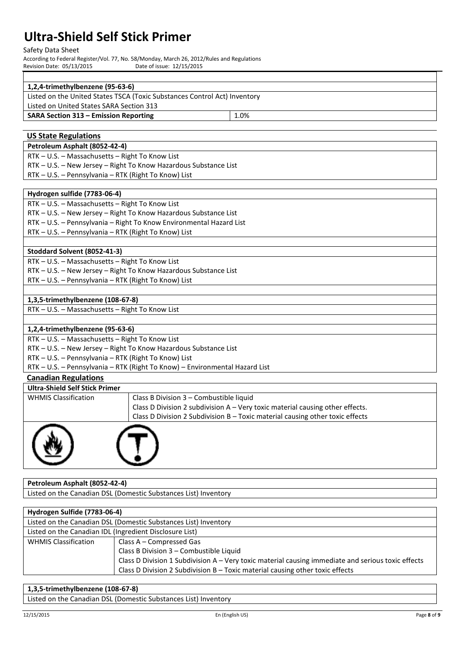#### Safety Data Sheet

According to Federal Register/Vol. 77, No. 58/Monday, March 26, 2012/Rules and Regulations Revision Date:  $05/13/2015$ 

| 1,2,4-trimethylbenzene (95-63-6)                                    |                                                                           |  |
|---------------------------------------------------------------------|---------------------------------------------------------------------------|--|
|                                                                     | Listed on the United States TSCA (Toxic Substances Control Act) Inventory |  |
| Listed on United States SARA Section 313                            |                                                                           |  |
| SARA Section 313 - Emission Reporting                               | 1.0%                                                                      |  |
|                                                                     |                                                                           |  |
| <b>US State Regulations</b>                                         |                                                                           |  |
| Petroleum Asphalt (8052-42-4)                                       |                                                                           |  |
| RTK - U.S. - Massachusetts - Right To Know List                     |                                                                           |  |
| RTK – U.S. – New Jersey – Right To Know Hazardous Substance List    |                                                                           |  |
| RTK – U.S. – Pennsylvania – RTK (Right To Know) List                |                                                                           |  |
|                                                                     |                                                                           |  |
| Hydrogen sulfide (7783-06-4)                                        |                                                                           |  |
| RTK - U.S. - Massachusetts - Right To Know List                     |                                                                           |  |
| RTK – U.S. – New Jersey – Right To Know Hazardous Substance List    |                                                                           |  |
| RTK - U.S. - Pennsylvania - Right To Know Environmental Hazard List |                                                                           |  |
| RTK - U.S. - Pennsylvania - RTK (Right To Know) List                |                                                                           |  |
|                                                                     |                                                                           |  |
| Stoddard Solvent (8052-41-3)                                        |                                                                           |  |

RTK – U.S. – Massachusetts – Right To Know List

RTK – U.S. – New Jersey – Right To Know Hazardous Substance List

RTK – U.S. – Pennsylvania – RTK (Right To Know) List

### **1,3,5-trimethylbenzene (108-67-8)**

RTK – U.S. – Massachusetts – Right To Know List

### **1,2,4-trimethylbenzene (95-63-6)**

RTK – U.S. – Massachusetts – Right To Know List

RTK – U.S. – New Jersey – Right To Know Hazardous Substance List

RTK – U.S. – Pennsylvania – RTK (Right To Know) List

RTK – U.S. – Pennsylvania – RTK (Right To Know) – Environmental Hazard List

# **Canadian Regulations**

| <b>Ultra-Shield Self Stick Primer</b> |                                                                               |
|---------------------------------------|-------------------------------------------------------------------------------|
| <b>WHMIS Classification</b>           | Class B Division 3 - Combustible liquid                                       |
|                                       | Class D Division 2 subdivision A - Very toxic material causing other effects. |
|                                       | Class D Division 2 Subdivision B - Toxic material causing other toxic effects |
|                                       |                                                                               |

# **Petroleum Asphalt (8052-42-4)** Listed on the Canadian DSL (Domestic Substances List) Inventory

| Hydrogen Sulfide (7783-06-4)                            |                                                                                                    |
|---------------------------------------------------------|----------------------------------------------------------------------------------------------------|
|                                                         | Listed on the Canadian DSL (Domestic Substances List) Inventory                                    |
| Listed on the Canadian IDL (Ingredient Disclosure List) |                                                                                                    |
| <b>WHMIS Classification</b>                             | Class A – Compressed Gas                                                                           |
|                                                         | Class B Division 3 - Combustible Liquid                                                            |
|                                                         | Class D Division 1 Subdivision A - Very toxic material causing immediate and serious toxic effects |
|                                                         | Class D Division 2 Subdivision $B$ – Toxic material causing other toxic effects                    |
|                                                         |                                                                                                    |

# **1,3,5-trimethylbenzene (108-67-8)**

Listed on the Canadian DSL (Domestic Substances List) Inventory